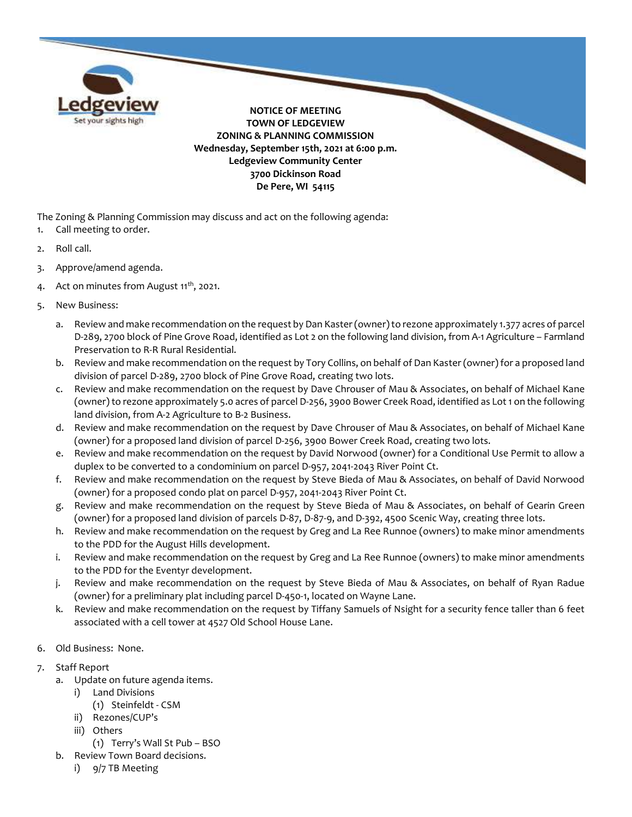

The Zoning & Planning Commission may discuss and act on the following agenda:

- 1. Call meeting to order.
- 2. Roll call.
- 3. Approve/amend agenda.
- 4. Act on minutes from August  $11^{th}$ , 2021.
- 5. New Business:
	- a. Review and make recommendation on the request by Dan Kaster (owner) to rezone approximately 1.377 acres of parcel D-289, 2700 block of Pine Grove Road, identified as Lot 2 on the following land division, from A-1 Agriculture – Farmland Preservation to R-R Rural Residential.
	- b. Review and make recommendation on the request by Tory Collins, on behalf of Dan Kaster (owner) for a proposed land division of parcel D-289, 2700 block of Pine Grove Road, creating two lots.
	- c. Review and make recommendation on the request by Dave Chrouser of Mau & Associates, on behalf of Michael Kane (owner) to rezone approximately 5.0 acres of parcel D-256, 3900 Bower Creek Road, identified as Lot 1 on the following land division, from A-2 Agriculture to B-2 Business.
	- d. Review and make recommendation on the request by Dave Chrouser of Mau & Associates, on behalf of Michael Kane (owner) for a proposed land division of parcel D-256, 3900 Bower Creek Road, creating two lots.
	- e. Review and make recommendation on the request by David Norwood (owner) for a Conditional Use Permit to allow a duplex to be converted to a condominium on parcel D-957, 2041-2043 River Point Ct.
	- f. Review and make recommendation on the request by Steve Bieda of Mau & Associates, on behalf of David Norwood (owner) for a proposed condo plat on parcel D-957, 2041-2043 River Point Ct.
	- g. Review and make recommendation on the request by Steve Bieda of Mau & Associates, on behalf of Gearin Green (owner) for a proposed land division of parcels D-87, D-87-9, and D-392, 4500 Scenic Way, creating three lots.
	- h. Review and make recommendation on the request by Greg and La Ree Runnoe (owners) to make minor amendments to the PDD for the August Hills development.
	- i. Review and make recommendation on the request by Greg and La Ree Runnoe (owners) to make minor amendments to the PDD for the Eventyr development.
	- j. Review and make recommendation on the request by Steve Bieda of Mau & Associates, on behalf of Ryan Radue (owner) for a preliminary plat including parcel D-450-1, located on Wayne Lane.
	- k. Review and make recommendation on the request by Tiffany Samuels of Nsight for a security fence taller than 6 feet associated with a cell tower at 4527 Old School House Lane.
- 6. Old Business: None.
- 7. Staff Report
	- a. Update on future agenda items.
		- i) Land Divisions
			- (1) Steinfeldt CSM
		- ii) Rezones/CUP's
		- iii) Others
			- (1) Terry's Wall St Pub BSO
	- b. Review Town Board decisions.
		- i) 9/7 TB Meeting